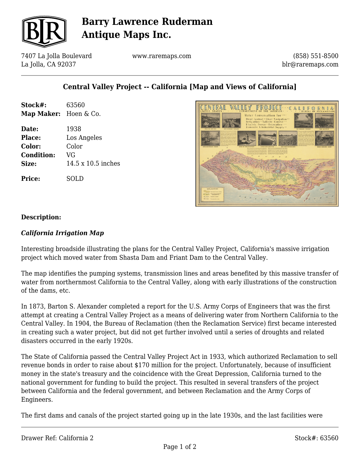

# **Barry Lawrence Ruderman Antique Maps Inc.**

7407 La Jolla Boulevard La Jolla, CA 92037

www.raremaps.com

(858) 551-8500 blr@raremaps.com

### **Central Valley Project -- California [Map and Views of California]**

| Stock#:<br>Map Maker: Hoen & Co. | 63560              |
|----------------------------------|--------------------|
| Date:                            | 1938               |
| Place:                           | Los Angeles        |
| Color:                           | Color              |
| <b>Condition:</b>                | VG                 |
| Size:                            | 14.5 x 10.5 inches |
| <b>Price:</b>                    | SOLD               |



#### **Description:**

#### *California Irrigation Map*

Interesting broadside illustrating the plans for the Central Valley Project, California's massive irrigation project which moved water from Shasta Dam and Friant Dam to the Central Valley.

The map identifies the pumping systems, transmission lines and areas benefited by this massive transfer of water from northernmost California to the Central Valley, along with early illustrations of the construction of the dams, etc.

In 1873, Barton S. Alexander completed a report for the U.S. Army Corps of Engineers that was the first attempt at creating a Central Valley Project as a means of delivering water from Northern California to the Central Valley. In 1904, the Bureau of Reclamation (then the Reclamation Service) first became interested in creating such a water project, but did not get further involved until a series of droughts and related disasters occurred in the early 1920s.

The State of California passed the Central Valley Project Act in 1933, which authorized Reclamation to sell revenue bonds in order to raise about \$170 million for the project. Unfortunately, because of insufficient money in the state's treasury and the coincidence with the Great Depression, California turned to the national government for funding to build the project. This resulted in several transfers of the project between California and the federal government, and between Reclamation and the Army Corps of Engineers.

The first dams and canals of the project started going up in the late 1930s, and the last facilities were